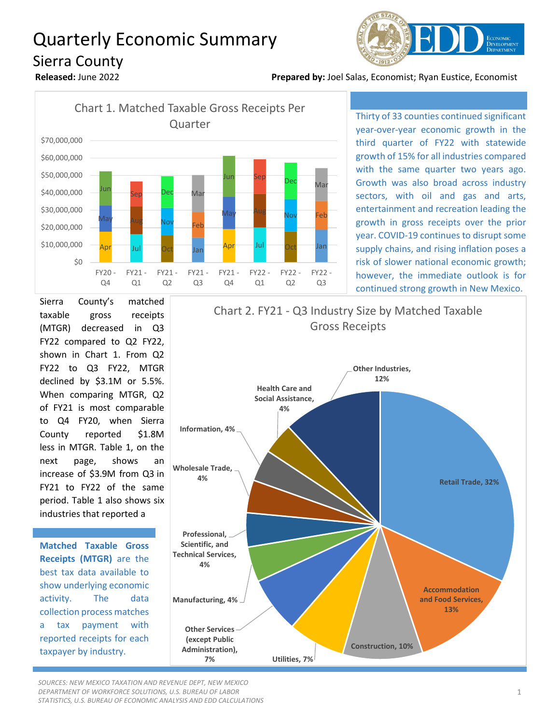## Quarterly Economic Summary Sierra County



**Released:** June 2022 **Prepared by:** Joel Salas, Economist; Ryan Eustice, Economist



Thirty of 33 counties continued significant year-over-year economic growth in the third quarter of FY22 with statewide growth of 15% for all industries compared with the same quarter two years ago. Growth was also broad across industry sectors, with oil and gas and arts, entertainment and recreation leading the growth in gross receipts over the prior year. COVID-19 continues to disrupt some supply chains, and rising inflation poses a risk of slower national economic growth; however, the immediate outlook is for continued strong growth in New Mexico.

Sierra County's matched taxable gross receipts (MTGR) decreased in Q3 FY22 compared to Q2 FY22, shown in Chart 1. From Q2 FY22 to Q3 FY22, MTGR declined by \$3.1M or 5.5%. When comparing MTGR, Q2 of FY21 is most comparable to Q4 FY20, when Sierra County reported \$1.8M less in MTGR. Table 1, on the next page, shows an increase of \$3.9M from Q3 in FY21 to FY22 of the same period. Table 1 also shows six industries that reported a

**Matched Taxable Gross Receipts (MTGR)** are the best tax data available to show underlying economic activity. The data collection process matches a tax payment with reported receipts for each taxpayer by industry.



*SOURCES: NEW MEXICO TAXATION AND REVENUE DEPT, NEW MEXICO DEPARTMENT OF WORKFORCE SOLUTIONS, U.S. BUREAU OF LABOR STATISTICS, U.S. BUREAU OF ECONOMIC ANALYSIS AND EDD CALCULATIONS*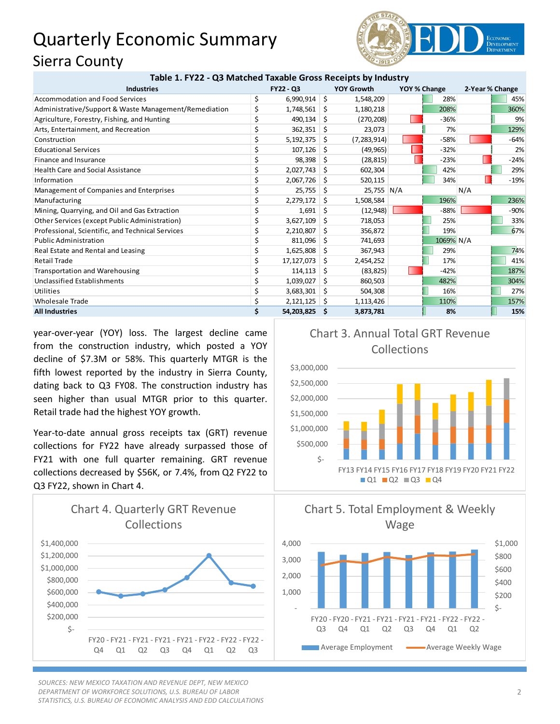## Quarterly Economic Summary Sierra County



| Table 1. FY22 - Q3 Matched Taxable Gross Receipts by Industry |           |            |    |                   |              |           |                 |        |
|---------------------------------------------------------------|-----------|------------|----|-------------------|--------------|-----------|-----------------|--------|
| <b>Industries</b>                                             | FY22 - Q3 |            |    | <b>YOY Growth</b> | YOY % Change |           | 2-Year % Change |        |
| Accommodation and Food Services                               | \$        | 6,990,914  | \$ | 1,548,209         |              | 28%       |                 | 45%    |
| Administrative/Support & Waste Management/Remediation         | \$        | 1,748,561  | S  | 1,180,218         |              | 208%      |                 | 360%   |
| Agriculture, Forestry, Fishing, and Hunting                   |           | 490,134    | Ŝ  | (270, 208)        |              | $-36%$    |                 | 9%     |
| Arts, Entertainment, and Recreation                           |           | 362,351    | Ŝ  | 23,073            |              | 7%        |                 | 129%   |
| Construction                                                  | Ś         | 5,192,375  | Ŝ. | (7, 283, 914)     |              | $-58%$    |                 | $-64%$ |
| <b>Educational Services</b>                                   |           | 107,126    | Ŝ  | (49, 965)         |              | $-32%$    |                 | 2%     |
| Finance and Insurance                                         |           | 98,398     | S  | (28, 815)         |              | $-23%$    |                 | $-24%$ |
| <b>Health Care and Social Assistance</b>                      | \$        | 2,027,743  | S  | 602,304           |              | 42%       |                 | 29%    |
| Information                                                   |           | 2,067,726  | S  | 520,115           |              | 34%       |                 | $-19%$ |
| Management of Companies and Enterprises                       | \$        | 25,755     | S  | 25,755 N/A        |              |           | N/A             |        |
| Manufacturing                                                 | \$        | 2,279,172  | Ŝ. | 1,508,584         |              | 196%      |                 | 236%   |
| Mining, Quarrying, and Oil and Gas Extraction                 |           | 1,691      | S  | (12,948)          |              | $-88%$    |                 | $-90%$ |
| Other Services (except Public Administration)                 | \$        | 3,627,109  | Ŝ  | 718,053           |              | 25%       |                 | 33%    |
| Professional, Scientific, and Technical Services              |           | 2,210,807  | S  | 356,872           |              | 19%       |                 | 67%    |
| <b>Public Administration</b>                                  |           | 811,096    | S  | 741,693           |              | 1069% N/A |                 |        |
| Real Estate and Rental and Leasing                            | \$        | 1,625,808  | S  | 367,943           |              | 29%       |                 | 74%    |
| <b>Retail Trade</b>                                           |           | 17,127,073 | S  | 2,454,252         |              | 17%       |                 | 41%    |
| <b>Transportation and Warehousing</b>                         |           | 114,113    | S  | (83, 825)         |              | $-42%$    |                 | 187%   |
| <b>Unclassified Establishments</b>                            |           | 1,039,027  | S  | 860,503           |              | 482%      |                 | 304%   |
| Utilities                                                     | \$        | 3,683,301  | Ŝ  | 504,308           |              | 16%       |                 | 27%    |
| <b>Wholesale Trade</b>                                        | \$        | 2,121,125  | S  | 1,113,426         |              | 110%      |                 | 157%   |
| <b>All Industries</b>                                         | Ś.        | 54,203,825 | -S | 3,873,781         |              | 8%        |                 | 15%    |

year-over-year (YOY) loss. The largest decline came from the construction industry, which posted a YOY decline of \$7.3M or 58%. This quarterly MTGR is the fifth lowest reported by the industry in Sierra County, dating back to Q3 FY08. The construction industry has seen higher than usual MTGR prior to this quarter. Retail trade had the highest YOY growth.

Year-to-date annual gross receipts tax (GRT) revenue collections for FY22 have already surpassed those of FY21 with one full quarter remaining. GRT revenue collections decreased by \$56K, or 7.4%, from Q2 FY22 to Q3 FY22, shown in Chart 4.



*SOURCES: NEW MEXICO TAXATION AND REVENUE DEPT, NEW MEXICO DEPARTMENT OF WORKFORCE SOLUTIONS, U.S. BUREAU OF LABOR STATISTICS, U.S. BUREAU OF ECONOMIC ANALYSIS AND EDD CALCULATIONS*